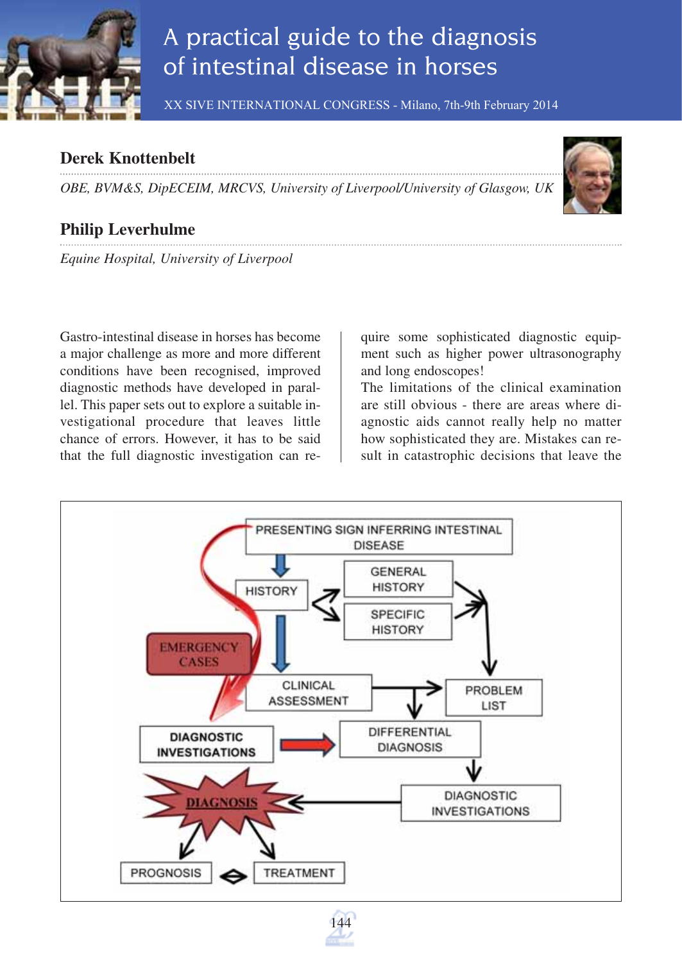

# A practical guide to the diagnosis of intestinal disease in horses

XX SIVE INTERNATIONAL CONGRESS - Milano, 7th-9th February 2014

## **Derek Knottenbelt**

*OBE, BVM&S, DipECEIM, MRCVS, University of Liverpool/University of Glasgow, UK*



## **Philip Leverhulme**

*Equine Hospital, University of Liverpool*

Gastro-intestinal disease in horses has become a major challenge as more and more different conditions have been recognised, improved diagnostic methods have developed in parallel. This paper sets out to explore a suitable investigational procedure that leaves little chance of errors. However, it has to be said that the full diagnostic investigation can require some sophisticated diagnostic equipment such as higher power ultrasonography and long endoscopes!

The limitations of the clinical examination are still obvious - there are areas where diagnostic aids cannot really help no matter how sophisticated they are. Mistakes can result in catastrophic decisions that leave the

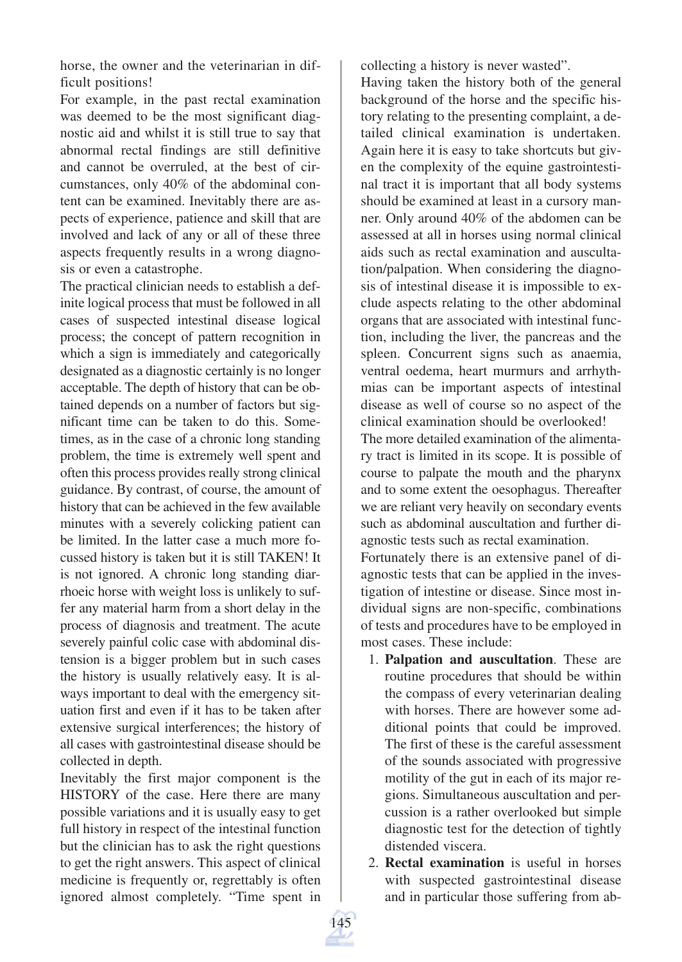horse, the owner and the veterinarian in difficult positions!

For example, in the past rectal examination was deemed to be the most significant diagnostic aid and whilst it is still true to say that abnormal rectal findings are still definitive and cannot be overruled, at the best of circumstances, only 40% of the abdominal content can be examined. Inevitably there are aspects of experience, patience and skill that are involved and lack of any or all of these three aspects frequently results in a wrong diagnosis or even a catastrophe.

The practical clinician needs to establish a definite logical process that must be followed in all cases of suspected intestinal disease logical process; the concept of pattern recognition in which a sign is immediately and categorically designated as a diagnostic certainly is no longer acceptable. The depth of history that can be obtained depends on a number of factors but significant time can be taken to do this. Sometimes, as in the case of a chronic long standing problem, the time is extremely well spent and often this process provides really strong clinical guidance. By contrast, of course, the amount of history that can be achieved in the few available minutes with a severely colicking patient can be limited. In the latter case a much more focussed history is taken but it is still TAKEN! It is not ignored. A chronic long standing diarrhoeic horse with weight loss is unlikely to suffer any material harm from a short delay in the process of diagnosis and treatment. The acute severely painful colic case with abdominal distension is a bigger problem but in such cases the history is usually relatively easy. It is always important to deal with the emergency situation first and even if it has to be taken after extensive surgical interferences; the history of all cases with gastrointestinal disease should be collected in depth.

Inevitably the first major component is the HISTORY of the case. Here there are many possible variations and it is usually easy to get full history in respect of the intestinal function but the clinician has to ask the right questions to get the right answers. This aspect of clinical medicine is frequently or, regrettably is often ignored almost completely. "Time spent in collecting a history is never wasted".

Having taken the history both of the general background of the horse and the specific history relating to the presenting complaint, a detailed clinical examination is undertaken. Again here it is easy to take shortcuts but given the complexity of the equine gastrointestinal tract it is important that all body systems should be examined at least in a cursory manner. Only around 40% of the abdomen can be assessed at all in horses using normal clinical aids such as rectal examination and auscultation/palpation. When considering the diagnosis of intestinal disease it is impossible to exclude aspects relating to the other abdominal organs that are associated with intestinal function, including the liver, the pancreas and the spleen. Concurrent signs such as anaemia, ventral oedema, heart murmurs and arrhythmias can be important aspects of intestinal disease as well of course so no aspect of the clinical examination should be overlooked!

The more detailed examination of the alimentary tract is limited in its scope. It is possible of course to palpate the mouth and the pharynx and to some extent the oesophagus. Thereafter we are reliant very heavily on secondary events such as abdominal auscultation and further diagnostic tests such as rectal examination.

Fortunately there is an extensive panel of diagnostic tests that can be applied in the investigation of intestine or disease. Since most individual signs are non-specific, combinations of tests and procedures have to be employed in most cases. These include:

- 1. **Palpation and auscultation**. These are routine procedures that should be within the compass of every veterinarian dealing with horses. There are however some additional points that could be improved. The first of these is the careful assessment of the sounds associated with progressive motility of the gut in each of its major regions. Simultaneous auscultation and percussion is a rather overlooked but simple diagnostic test for the detection of tightly distended viscera.
- 2. **Rectal examination** is useful in horses with suspected gastrointestinal disease and in particular those suffering from ab-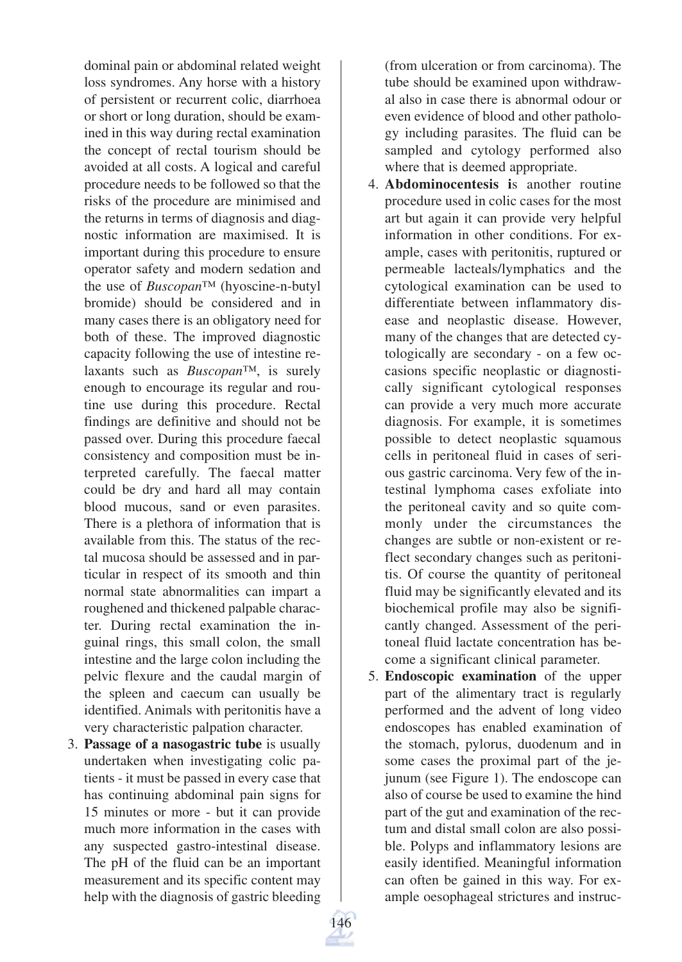dominal pain or abdominal related weight loss syndromes. Any horse with a history of persistent or recurrent colic, diarrhoea or short or long duration, should be examined in this way during rectal examination the concept of rectal tourism should be avoided at all costs. A logical and careful procedure needs to be followed so that the risks of the procedure are minimised and the returns in terms of diagnosis and diagnostic information are maximised. It is important during this procedure to ensure operator safety and modern sedation and the use of *Buscopan*™ (hyoscine-n-butyl bromide) should be considered and in many cases there is an obligatory need for both of these. The improved diagnostic capacity following the use of intestine relaxants such as *Buscopan*™, is surely enough to encourage its regular and routine use during this procedure. Rectal findings are definitive and should not be passed over. During this procedure faecal consistency and composition must be interpreted carefully. The faecal matter could be dry and hard all may contain blood mucous, sand or even parasites. There is a plethora of information that is available from this. The status of the rectal mucosa should be assessed and in particular in respect of its smooth and thin normal state abnormalities can impart a roughened and thickened palpable character. During rectal examination the inguinal rings, this small colon, the small intestine and the large colon including the pelvic flexure and the caudal margin of the spleen and caecum can usually be identified. Animals with peritonitis have a very characteristic palpation character.

3. **Passage of a nasogastric tube** is usually undertaken when investigating colic patients - it must be passed in every case that has continuing abdominal pain signs for 15 minutes or more - but it can provide much more information in the cases with any suspected gastro-intestinal disease. The pH of the fluid can be an important measurement and its specific content may help with the diagnosis of gastric bleeding (from ulceration or from carcinoma). The tube should be examined upon withdrawal also in case there is abnormal odour or even evidence of blood and other pathology including parasites. The fluid can be sampled and cytology performed also where that is deemed appropriate.

- 4. **Abdominocentesis i**s another routine procedure used in colic cases for the most art but again it can provide very helpful information in other conditions. For example, cases with peritonitis, ruptured or permeable lacteals/lymphatics and the cytological examination can be used to differentiate between inflammatory disease and neoplastic disease. However, many of the changes that are detected cytologically are secondary - on a few occasions specific neoplastic or diagnostically significant cytological responses can provide a very much more accurate diagnosis. For example, it is sometimes possible to detect neoplastic squamous cells in peritoneal fluid in cases of serious gastric carcinoma. Very few of the intestinal lymphoma cases exfoliate into the peritoneal cavity and so quite commonly under the circumstances the changes are subtle or non-existent or reflect secondary changes such as peritonitis. Of course the quantity of peritoneal fluid may be significantly elevated and its biochemical profile may also be significantly changed. Assessment of the peritoneal fluid lactate concentration has become a significant clinical parameter.
- 5. **Endoscopic examination** of the upper part of the alimentary tract is regularly performed and the advent of long video endoscopes has enabled examination of the stomach, pylorus, duodenum and in some cases the proximal part of the jejunum (see Figure 1). The endoscope can also of course be used to examine the hind part of the gut and examination of the rectum and distal small colon are also possible. Polyps and inflammatory lesions are easily identified. Meaningful information can often be gained in this way. For example oesophageal strictures and instruc-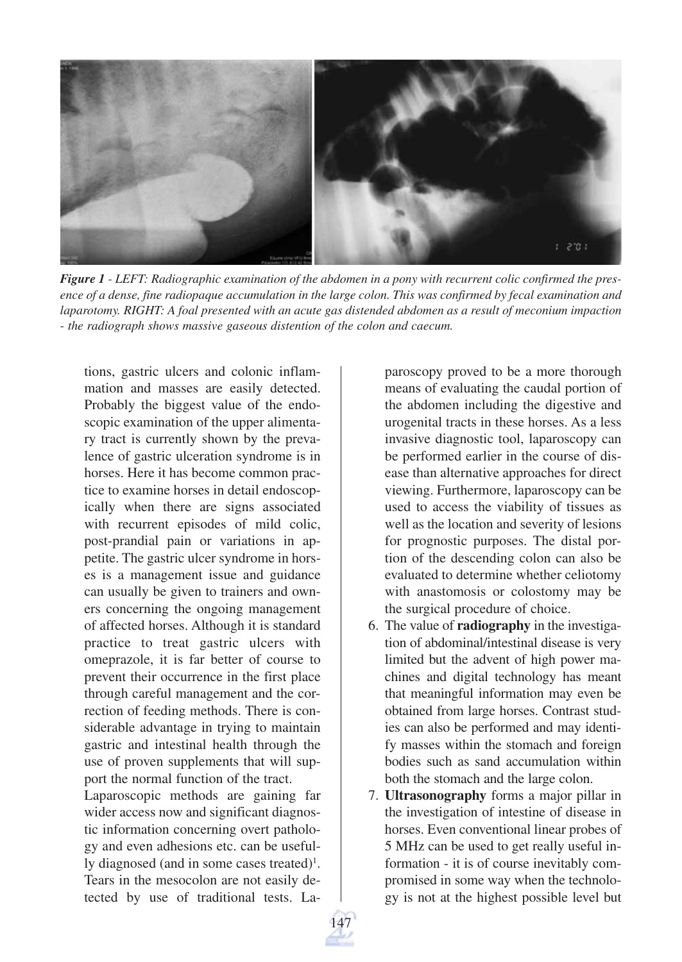

*Figure 1 - LEFT: Radiographic examination of the abdomen in a pony with recurrent colic confirmed the presence of a dense, fine radiopaque accumulation in the large colon. This was confirmed by fecal examination and laparotomy. RIGHT: A foal presented with an acute gas distended abdomen as a result of meconium impaction - the radiograph shows massive gaseous distention of the colon and caecum.*

tions, gastric ulcers and colonic inflammation and masses are easily detected. Probably the biggest value of the endoscopic examination of the upper alimentary tract is currently shown by the prevalence of gastric ulceration syndrome is in horses. Here it has become common practice to examine horses in detail endoscopically when there are signs associated with recurrent episodes of mild colic, post-prandial pain or variations in appetite. The gastric ulcer syndrome in horses is a management issue and guidance can usually be given to trainers and owners concerning the ongoing management of affected horses. Although it is standard practice to treat gastric ulcers with omeprazole, it is far better of course to prevent their occurrence in the first place through careful management and the correction of feeding methods. There is considerable advantage in trying to maintain gastric and intestinal health through the use of proven supplements that will support the normal function of the tract.

Laparoscopic methods are gaining far wider access now and significant diagnostic information concerning overt pathology and even adhesions etc. can be usefully diagnosed (and in some cases treated)<sup>1</sup>. Tears in the mesocolon are not easily detected by use of traditional tests. La-

paroscopy proved to be a more thorough means of evaluating the caudal portion of the abdomen including the digestive and urogenital tracts in these horses. As a less invasive diagnostic tool, laparoscopy can be performed earlier in the course of disease than alternative approaches for direct viewing. Furthermore, laparoscopy can be used to access the viability of tissues as well as the location and severity of lesions for prognostic purposes. The distal portion of the descending colon can also be evaluated to determine whether celiotomy with anastomosis or colostomy may be the surgical procedure of choice.

- 6. The value of **radiography** in the investigation of abdominal/intestinal disease is very limited but the advent of high power machines and digital technology has meant that meaningful information may even be obtained from large horses. Contrast studies can also be performed and may identify masses within the stomach and foreign bodies such as sand accumulation within both the stomach and the large colon.
- 7. **Ultrasonography** forms a major pillar in the investigation of intestine of disease in horses. Even conventional linear probes of 5 MHz can be used to get really useful information - it is of course inevitably compromised in some way when the technology is not at the highest possible level but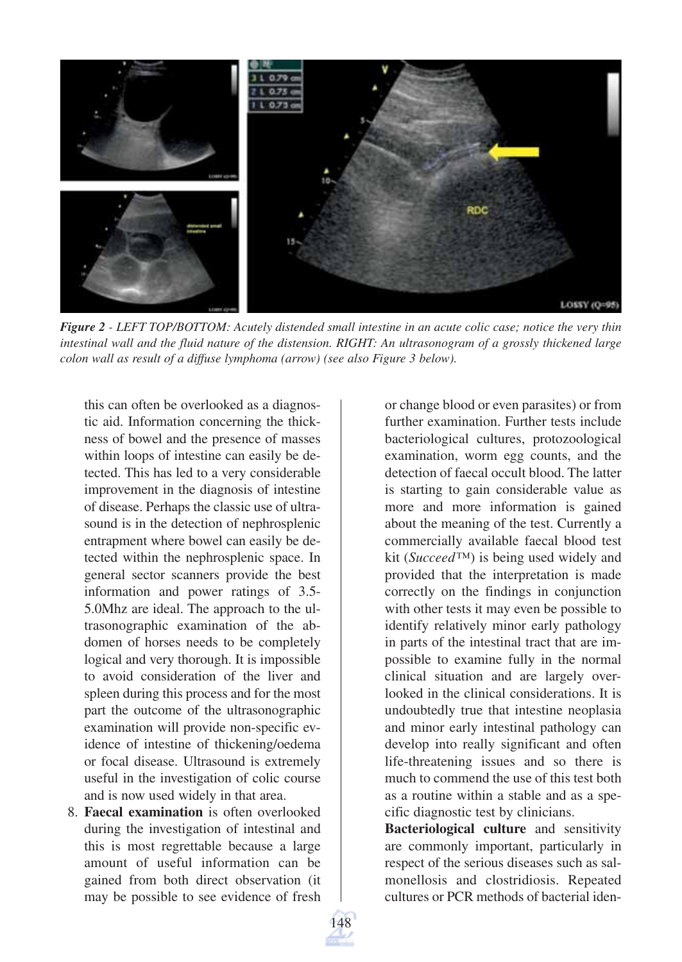

*Figure 2 - LEFT TOP/BOTTOM: Acutely distended small intestine in an acute colic case; notice the very thin intestinal wall and the fluid nature of the distension. RIGHT: An ultrasonogram of a grossly thickened large colon wall as result of a diffuse lymphoma (arrow) (see also Figure 3 below).*

this can often be overlooked as a diagnostic aid. Information concerning the thickness of bowel and the presence of masses within loops of intestine can easily be detected. This has led to a very considerable improvement in the diagnosis of intestine of disease. Perhaps the classic use of ultrasound is in the detection of nephrosplenic entrapment where bowel can easily be detected within the nephrosplenic space. In general sector scanners provide the best information and power ratings of 3.5- 5.0Mhz are ideal. The approach to the ultrasonographic examination of the abdomen of horses needs to be completely logical and very thorough. It is impossible to avoid consideration of the liver and spleen during this process and for the most part the outcome of the ultrasonographic examination will provide non-specific evidence of intestine of thickening/oedema or focal disease. Ultrasound is extremely useful in the investigation of colic course and is now used widely in that area.

8. **Faecal examination** is often overlooked during the investigation of intestinal and this is most regrettable because a large amount of useful information can be gained from both direct observation (it may be possible to see evidence of fresh

or change blood or even parasites) or from further examination. Further tests include bacteriological cultures, protozoological examination, worm egg counts, and the detection of faecal occult blood. The latter is starting to gain considerable value as more and more information is gained about the meaning of the test. Currently a commercially available faecal blood test kit (*Succeed™*) is being used widely and provided that the interpretation is made correctly on the findings in conjunction with other tests it may even be possible to identify relatively minor early pathology in parts of the intestinal tract that are impossible to examine fully in the normal clinical situation and are largely overlooked in the clinical considerations. It is undoubtedly true that intestine neoplasia and minor early intestinal pathology can develop into really significant and often life-threatening issues and so there is much to commend the use of this test both as a routine within a stable and as a specific diagnostic test by clinicians.

**Bacteriological culture** and sensitivity are commonly important, particularly in respect of the serious diseases such as salmonellosis and clostridiosis. Repeated cultures or PCR methods of bacterial iden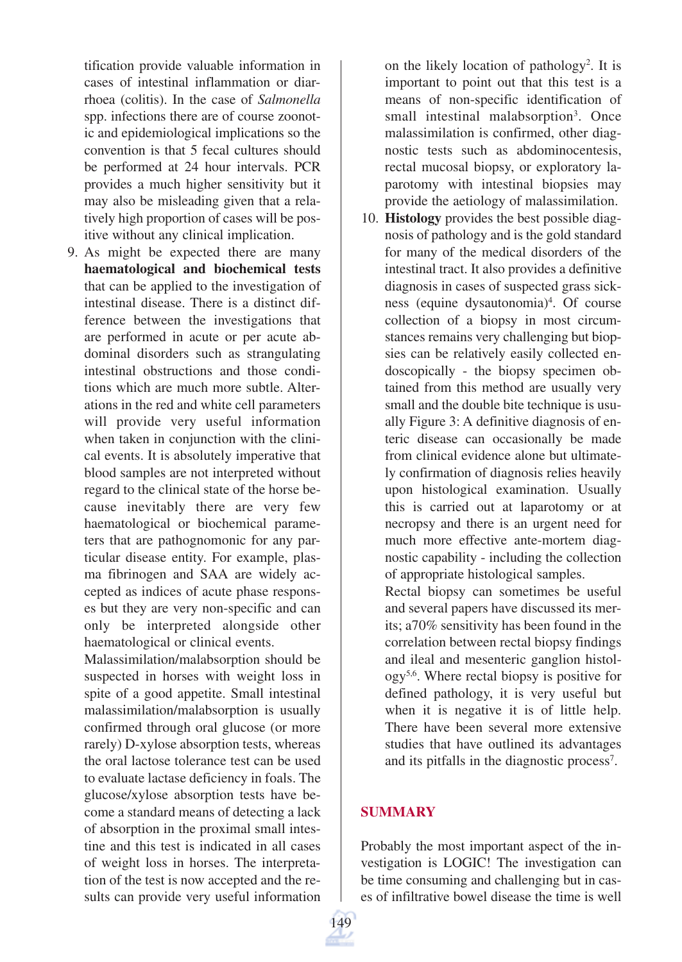tification provide valuable information in cases of intestinal inflammation or diarrhoea (colitis). In the case of *Salmonella* spp. infections there are of course zoonotic and epidemiological implications so the convention is that 5 fecal cultures should be performed at 24 hour intervals. PCR provides a much higher sensitivity but it may also be misleading given that a relatively high proportion of cases will be positive without any clinical implication.

9. As might be expected there are many **haematological and biochemical tests** that can be applied to the investigation of intestinal disease. There is a distinct difference between the investigations that are performed in acute or per acute abdominal disorders such as strangulating intestinal obstructions and those conditions which are much more subtle. Alterations in the red and white cell parameters will provide very useful information when taken in conjunction with the clinical events. It is absolutely imperative that blood samples are not interpreted without regard to the clinical state of the horse because inevitably there are very few haematological or biochemical parameters that are pathognomonic for any particular disease entity. For example, plasma fibrinogen and SAA are widely accepted as indices of acute phase responses but they are very non-specific and can only be interpreted alongside other haematological or clinical events.

Malassimilation/malabsorption should be suspected in horses with weight loss in spite of a good appetite. Small intestinal malassimilation/malabsorption is usually confirmed through oral glucose (or more rarely) D-xylose absorption tests, whereas the oral lactose tolerance test can be used to evaluate lactase deficiency in foals. The glucose/xylose absorption tests have become a standard means of detecting a lack of absorption in the proximal small intestine and this test is indicated in all cases of weight loss in horses. The interpretation of the test is now accepted and the results can provide very useful information

on the likely location of pathology<sup>2</sup>. It is important to point out that this test is a means of non-specific identification of small intestinal malabsorption<sup>3</sup>. Once malassimilation is confirmed, other diagnostic tests such as abdominocentesis, rectal mucosal biopsy, or exploratory laparotomy with intestinal biopsies may provide the aetiology of malassimilation.

10. **Histology** provides the best possible diagnosis of pathology and is the gold standard for many of the medical disorders of the intestinal tract. It also provides a definitive diagnosis in cases of suspected grass sickness (equine dysautonomia)<sup>4</sup>. Of course collection of a biopsy in most circumstances remains very challenging but biopsies can be relatively easily collected endoscopically - the biopsy specimen obtained from this method are usually very small and the double bite technique is usually Figure 3: A definitive diagnosis of enteric disease can occasionally be made from clinical evidence alone but ultimately confirmation of diagnosis relies heavily upon histological examination. Usually this is carried out at laparotomy or at necropsy and there is an urgent need for much more effective ante-mortem diagnostic capability - including the collection of appropriate histological samples.

Rectal biopsy can sometimes be useful and several papers have discussed its merits; a70% sensitivity has been found in the correlation between rectal biopsy findings and ileal and mesenteric ganglion histology5,6. Where rectal biopsy is positive for defined pathology, it is very useful but when it is negative it is of little help. There have been several more extensive studies that have outlined its advantages and its pitfalls in the diagnostic process<sup>7</sup>.

### **SUMMARY**

Probably the most important aspect of the investigation is LOGIC! The investigation can be time consuming and challenging but in cases of infiltrative bowel disease the time is well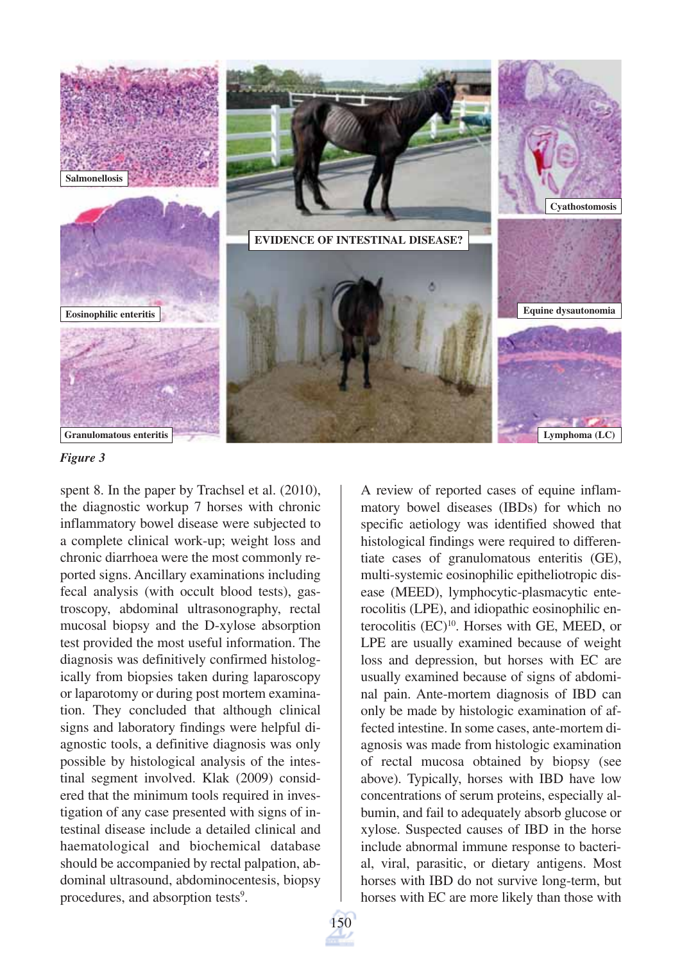

*Figure 3*

spent 8. In the paper by Trachsel et al. (2010), the diagnostic workup 7 horses with chronic inflammatory bowel disease were subjected to a complete clinical work-up; weight loss and chronic diarrhoea were the most commonly reported signs. Ancillary examinations including fecal analysis (with occult blood tests), gastroscopy, abdominal ultrasonography, rectal mucosal biopsy and the D-xylose absorption test provided the most useful information. The diagnosis was definitively confirmed histologically from biopsies taken during laparoscopy or laparotomy or during post mortem examination. They concluded that although clinical signs and laboratory findings were helpful diagnostic tools, a definitive diagnosis was only possible by histological analysis of the intestinal segment involved. Klak (2009) considered that the minimum tools required in investigation of any case presented with signs of intestinal disease include a detailed clinical and haematological and biochemical database should be accompanied by rectal palpation, abdominal ultrasound, abdominocentesis, biopsy procedures, and absorption tests<sup>9</sup>.

A review of reported cases of equine inflammatory bowel diseases (IBDs) for which no specific aetiology was identified showed that histological findings were required to differentiate cases of granulomatous enteritis (GE), multi-systemic eosinophilic epitheliotropic disease (MEED), lymphocytic-plasmacytic enterocolitis (LPE), and idiopathic eosinophilic enterocolitis (EC)<sup>10</sup>. Horses with GE, MEED, or LPE are usually examined because of weight loss and depression, but horses with EC are usually examined because of signs of abdominal pain. Ante-mortem diagnosis of IBD can only be made by histologic examination of affected intestine. In some cases, ante-mortem diagnosis was made from histologic examination of rectal mucosa obtained by biopsy (see above). Typically, horses with IBD have low concentrations of serum proteins, especially albumin, and fail to adequately absorb glucose or xylose. Suspected causes of IBD in the horse include abnormal immune response to bacterial, viral, parasitic, or dietary antigens. Most horses with IBD do not survive long-term, but horses with EC are more likely than those with